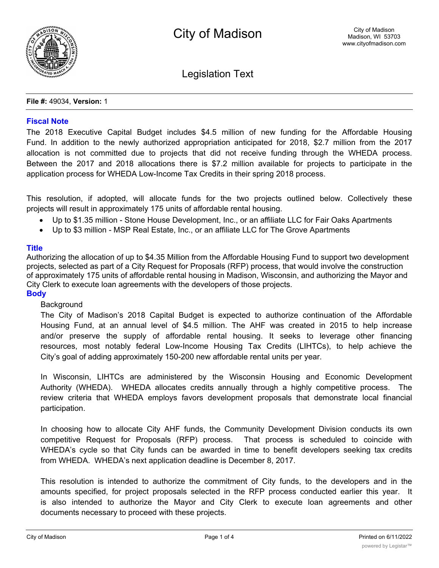

Legislation Text

#### **File #:** 49034, **Version:** 1

### **Fiscal Note**

The 2018 Executive Capital Budget includes \$4.5 million of new funding for the Affordable Housing Fund. In addition to the newly authorized appropriation anticipated for 2018, \$2.7 million from the 2017 allocation is not committed due to projects that did not receive funding through the WHEDA process. Between the 2017 and 2018 allocations there is \$7.2 million available for projects to participate in the application process for WHEDA Low-Income Tax Credits in their spring 2018 process.

This resolution, if adopted, will allocate funds for the two projects outlined below. Collectively these projects will result in approximately 175 units of affordable rental housing.

- · Up to \$1.35 million Stone House Development, Inc., or an affiliate LLC for Fair Oaks Apartments
- · Up to \$3 million MSP Real Estate, Inc., or an affiliate LLC for The Grove Apartments

### **Title**

Authorizing the allocation of up to \$4.35 Million from the Affordable Housing Fund to support two development projects, selected as part of a City Request for Proposals (RFP) process, that would involve the construction of approximately 175 units of affordable rental housing in Madison, Wisconsin, and authorizing the Mayor and City Clerk to execute loan agreements with the developers of those projects.

# **Body**

### **Background**

The City of Madison's 2018 Capital Budget is expected to authorize continuation of the Affordable Housing Fund, at an annual level of \$4.5 million. The AHF was created in 2015 to help increase and/or preserve the supply of affordable rental housing. It seeks to leverage other financing resources, most notably federal Low-Income Housing Tax Credits (LIHTCs), to help achieve the City's goal of adding approximately 150-200 new affordable rental units per year.

In Wisconsin, LIHTCs are administered by the Wisconsin Housing and Economic Development Authority (WHEDA). WHEDA allocates credits annually through a highly competitive process. The review criteria that WHEDA employs favors development proposals that demonstrate local financial participation.

In choosing how to allocate City AHF funds, the Community Development Division conducts its own competitive Request for Proposals (RFP) process. That process is scheduled to coincide with WHEDA's cycle so that City funds can be awarded in time to benefit developers seeking tax credits from WHEDA. WHEDA's next application deadline is December 8, 2017.

This resolution is intended to authorize the commitment of City funds, to the developers and in the amounts specified, for project proposals selected in the RFP process conducted earlier this year. It is also intended to authorize the Mayor and City Clerk to execute loan agreements and other documents necessary to proceed with these projects.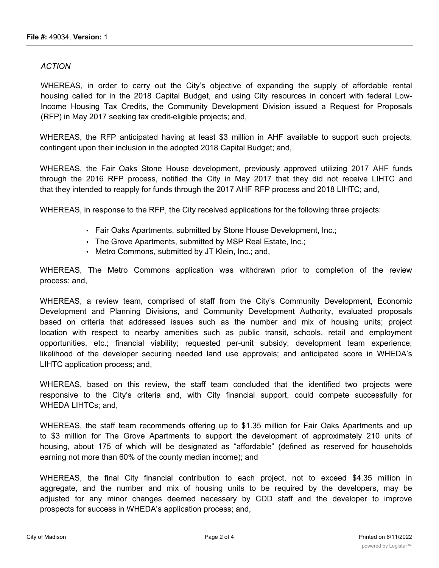## *ACTION*

WHEREAS, in order to carry out the City's objective of expanding the supply of affordable rental housing called for in the 2018 Capital Budget, and using City resources in concert with federal Low-Income Housing Tax Credits, the Community Development Division issued a Request for Proposals (RFP) in May 2017 seeking tax credit-eligible projects; and,

WHEREAS, the RFP anticipated having at least \$3 million in AHF available to support such projects, contingent upon their inclusion in the adopted 2018 Capital Budget; and,

WHEREAS, the Fair Oaks Stone House development, previously approved utilizing 2017 AHF funds through the 2016 RFP process, notified the City in May 2017 that they did not receive LIHTC and that they intended to reapply for funds through the 2017 AHF RFP process and 2018 LIHTC; and,

WHEREAS, in response to the RFP, the City received applications for the following three projects:

- Fair Oaks Apartments, submitted by Stone House Development, Inc.;
- The Grove Apartments, submitted by MSP Real Estate, Inc.;
- Metro Commons, submitted by JT Klein, Inc.; and,

WHEREAS, The Metro Commons application was withdrawn prior to completion of the review process: and,

WHEREAS, a review team, comprised of staff from the City's Community Development, Economic Development and Planning Divisions, and Community Development Authority, evaluated proposals based on criteria that addressed issues such as the number and mix of housing units; project location with respect to nearby amenities such as public transit, schools, retail and employment opportunities, etc.; financial viability; requested per-unit subsidy; development team experience; likelihood of the developer securing needed land use approvals; and anticipated score in WHEDA's LIHTC application process; and,

WHEREAS, based on this review, the staff team concluded that the identified two projects were responsive to the City's criteria and, with City financial support, could compete successfully for WHEDA LIHTCs; and,

WHEREAS, the staff team recommends offering up to \$1.35 million for Fair Oaks Apartments and up to \$3 million for The Grove Apartments to support the development of approximately 210 units of housing, about 175 of which will be designated as "affordable" (defined as reserved for households earning not more than 60% of the county median income); and

WHEREAS, the final City financial contribution to each project, not to exceed \$4.35 million in aggregate, and the number and mix of housing units to be required by the developers, may be adjusted for any minor changes deemed necessary by CDD staff and the developer to improve prospects for success in WHEDA's application process; and,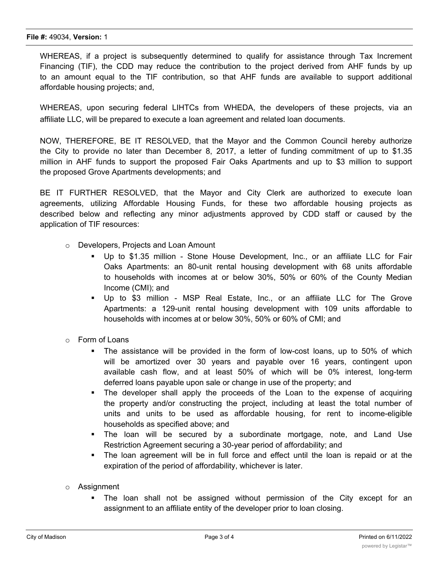WHEREAS, if a project is subsequently determined to qualify for assistance through Tax Increment Financing (TIF), the CDD may reduce the contribution to the project derived from AHF funds by up to an amount equal to the TIF contribution, so that AHF funds are available to support additional affordable housing projects; and,

WHEREAS, upon securing federal LIHTCs from WHEDA, the developers of these projects, via an affiliate LLC, will be prepared to execute a loan agreement and related loan documents.

NOW, THEREFORE, BE IT RESOLVED, that the Mayor and the Common Council hereby authorize the City to provide no later than December 8, 2017, a letter of funding commitment of up to \$1.35 million in AHF funds to support the proposed Fair Oaks Apartments and up to \$3 million to support the proposed Grove Apartments developments; and

BE IT FURTHER RESOLVED, that the Mayor and City Clerk are authorized to execute loan agreements, utilizing Affordable Housing Funds, for these two affordable housing projects as described below and reflecting any minor adjustments approved by CDD staff or caused by the application of TIF resources:

- o Developers, Projects and Loan Amount
	- Up to \$1.35 million Stone House Development, Inc., or an affiliate LLC for Fair Oaks Apartments: an 80-unit rental housing development with 68 units affordable to households with incomes at or below 30%, 50% or 60% of the County Median Income (CMI); and
	- § Up to \$3 million MSP Real Estate, Inc., or an affiliate LLC for The Grove Apartments: a 129-unit rental housing development with 109 units affordable to households with incomes at or below 30%, 50% or 60% of CMI; and
- o Form of Loans
	- The assistance will be provided in the form of low-cost loans, up to 50% of which will be amortized over 30 years and payable over 16 years, contingent upon available cash flow, and at least 50% of which will be 0% interest, long-term deferred loans payable upon sale or change in use of the property; and
	- The developer shall apply the proceeds of the Loan to the expense of acquiring the property and/or constructing the project, including at least the total number of units and units to be used as affordable housing, for rent to income-eligible households as specified above; and
	- § The loan will be secured by a subordinate mortgage, note, and Land Use Restriction Agreement securing a 30-year period of affordability; and
	- The loan agreement will be in full force and effect until the loan is repaid or at the expiration of the period of affordability, whichever is later.
- o Assignment
	- The loan shall not be assigned without permission of the City except for an assignment to an affiliate entity of the developer prior to loan closing.